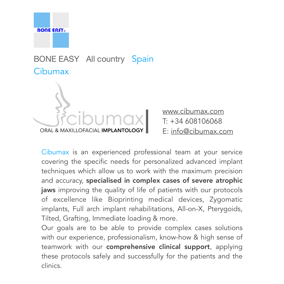

## BONE EASY All country Spain **Cibumax**



[www.cibumax.com](http://www.cibumax.com)  T: +34 608106068 E: [info@cibumax.com](mailto:info@cibumax.com)

Cibumax is an experienced professional team at your service covering the specific needs for personalized advanced implant techniques which allow us to work with the maximum precision and accuracy, specialised in complex cases of severe atrophic jaws improving the quality of life of patients with our protocols of excellence like Bioprinting medical devices, Zygomatic implants, Full arch implant rehabilitations, All-on-X, Pterygoids, Tilted, Grafting, Immediate loading & more. Our goals are to be able to provide complex cases solutions with our experience, professionalism, know-how & high sense of teamwork with our comprehensive clinical support, applying these protocols safely and successfully for the patients and the

clinics.